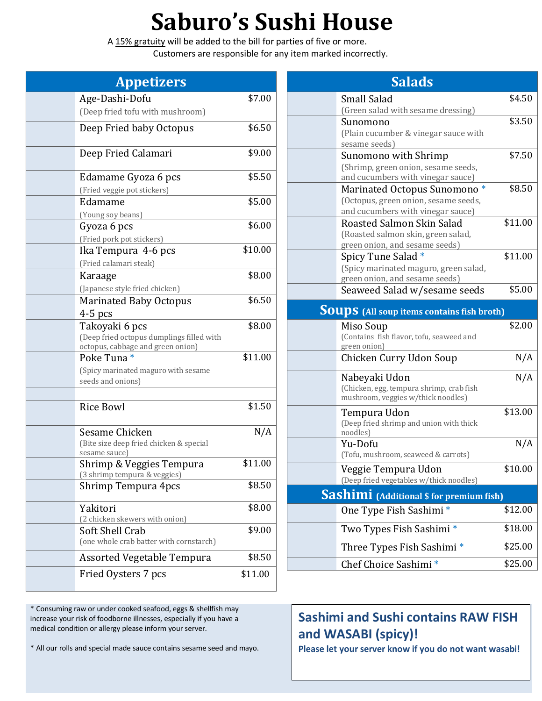## **Saburo's Sushi House**

A 15% gratuity will be added to the bill for parties of five or more. Customers are responsible for any item marked incorrectly.

| <b>Appetizers</b>                                                                                |         |
|--------------------------------------------------------------------------------------------------|---------|
| Age-Dashi-Dofu                                                                                   | \$7.00  |
| (Deep fried tofu with mushroom)                                                                  |         |
| Deep Fried baby Octopus                                                                          | \$6.50  |
| Deep Fried Calamari                                                                              | \$9.00  |
| Edamame Gyoza 6 pcs<br>(Fried veggie pot stickers)                                               | \$5.50  |
| Edamame                                                                                          | \$5.00  |
| (Young soy beans)<br>Gyoza 6 pcs                                                                 | \$6.00  |
| (Fried pork pot stickers)<br>Ika Tempura 4-6 pcs<br>(Fried calamari steak)                       | \$10.00 |
| Karaage<br>(Japanese style fried chicken)                                                        | \$8.00  |
| <b>Marinated Baby Octopus</b><br>$4-5$ pcs                                                       | \$6.50  |
| Takoyaki 6 pcs<br>(Deep fried octopus dumplings filled with<br>octopus, cabbage and green onion) | \$8.00  |
| Poke Tuna <sup>*</sup><br>(Spicy marinated maguro with sesame<br>seeds and onions)               | \$11.00 |
|                                                                                                  |         |
| <b>Rice Bowl</b>                                                                                 | \$1.50  |
| Sesame Chicken<br>(Bite size deep fried chicken & special<br>sesame sauce)                       | N/A     |
| Shrimp & Veggies Tempura<br>(3 shrimp tempura & veggies)                                         | \$11.00 |
| Shrimp Tempura 4pcs                                                                              | \$8.50  |
| Yakitori<br>(2 chicken skewers with onion)                                                       | \$8.00  |
| Soft Shell Crab<br>(one whole crab batter with cornstarch)                                       | \$9.00  |
| <b>Assorted Vegetable Tempura</b>                                                                | \$8.50  |
| Fried Oysters 7 pcs                                                                              | \$11.00 |

**Salads** Small Salad (Green salad with sesame dressing) \$4.50 Sunomono (Plain cucumber & vinegar sauce with sesame seeds) \$3.50 Sunomono with Shrimp (Shrimp, green onion, sesame seeds, and cucumbers with vinegar sauce) \$7.50 Marinated Octopus Sunomono \* (Octopus, green onion, sesame seeds, and cucumbers with vinegar sauce) \$8.50 Roasted Salmon Skin Salad (Roasted salmon skin, green salad, green onion, and sesame seeds) \$11.00 Spicy Tune Salad \* (Spicy marinated maguro, green salad, green onion, and sesame seeds) \$11.00 Seaweed Salad w/sesame seeds \$5.00 **Soups (All soup items contains fish broth)** Miso Soup (Contains fish flavor, tofu, seaweed and green onion) \$2.00 Chicken Curry Udon Soup N/A Nabeyaki Udon (Chicken, egg, tempura shrimp, crab fish mushroom, veggies w/thick noodles) N/A Tempura Udon (Deep fried shrimp and union with thick noodles) \$13.00 Yu-Dofu (Tofu, mushroom, seaweed & carrots) N/A Veggie Tempura Udon (Deep fried vegetables w/thick noodles) \$10.00 **Sashimi (Additional \$ for premium fish)** One Type Fish Sashimi \* \$12.00 Two Types Fish Sashimi \* \$18.00 Three Types Fish Sashimi \* \$25.00 Chef Choice Sashimi \* \$25.00

**Sashimi and Sushi contains RAW FISH and WASABI (spicy)!** 

\* All our rolls and special made sauce contains sesame seed and mayo.

\* Consuming raw or under cooked seafood, eggs & shellfish may increase your risk of foodborne illnesses, especially if you have a

medical condition or allergy please inform your server.

**Please let your server know if you do not want wasabi!**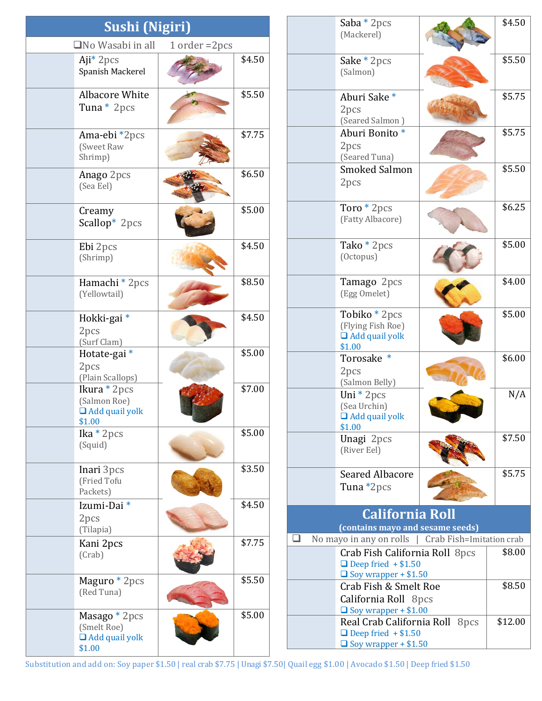| <b>Sushi (Nigiri)</b>                                           |                    |        |
|-----------------------------------------------------------------|--------------------|--------|
| $\square$ No Wasabi in all                                      | $1$ order = $2pcs$ |        |
| $Aji^*$ 2pcs<br>Spanish Mackerel                                |                    | \$4.50 |
| <b>Albacore White</b><br>Tuna * 2pcs                            |                    | \$5.50 |
| Ama-ebi *2pcs<br>(Sweet Raw<br>Shrimp)                          |                    | \$7.75 |
| Anago 2pcs<br>(Sea Eel)                                         |                    | \$6.50 |
| Creamy<br>Scallop* 2pcs                                         |                    | \$5.00 |
| Ebi 2pcs<br>(Shrimp)                                            |                    | \$4.50 |
| Hamachi * 2pcs<br>(Yellowtail)                                  |                    | \$8.50 |
| Hokki-gai*<br>2pcs<br>(Surf Clam)                               |                    | \$4.50 |
| Hotate-gai *<br>2pcs<br>(Plain Scallops)                        |                    | \$5.00 |
| Ikura * 2pcs<br>(Salmon Roe)<br>$\Box$ Add quail yolk<br>\$1.00 |                    | \$7.00 |
| Ika $*$ 2pcs<br>(Squid)                                         |                    | \$5.00 |
| Inari 3pcs<br>(Fried Tofu<br>Packets)                           |                    | \$3.50 |
| Izumi-Dai <sup>*</sup><br>2pcs<br>(Tilapia)                     |                    | \$4.50 |
| Kani 2pcs<br>(Crab)                                             |                    | \$7.75 |
| Maguro * 2pcs<br>(Red Tuna)                                     |                    | \$5.50 |
| Masago * 2pcs<br>(Smelt Roe)<br>$\Box$ Add quail yolk<br>\$1.00 |                    | \$5.00 |

|   | Saba $*$ 2 pcs<br>(Mackerel)                                                                |                          | \$4.50             |
|---|---------------------------------------------------------------------------------------------|--------------------------|--------------------|
|   | Sake $*$ 2 pcs<br>(Salmon)                                                                  |                          | \$5.50             |
|   | Aburi Sake*<br>2pcs<br>(Seared Salmon)                                                      |                          | \$5.75             |
|   | Aburi Bonito*<br>2pcs<br>(Seared Tuna)                                                      |                          | $\overline{$5.75}$ |
|   | <b>Smoked Salmon</b><br>2pcs                                                                |                          | \$5.50             |
|   | Toro * 2pcs<br>(Fatty Albacore)                                                             |                          | \$6.25             |
|   | Tako * 2pcs<br>(Octopus)                                                                    |                          | \$5.00             |
|   | Tamago 2pcs<br>(Egg Omelet)                                                                 |                          | \$4.00             |
|   | Tobiko * 2pcs<br>(Flying Fish Roe)<br>$\Box$ Add quail yolk<br>\$1.00                       |                          | \$5.00             |
|   | ∗<br>Torosake<br>2pcs<br>(Salmon Belly)                                                     |                          | \$6.00             |
|   | Uni $*$ 2pcs<br>(Sea Urchin)<br>$\Box$ Add quail yolk<br>\$1.00                             |                          | N/A                |
|   | Unagi 2pcs<br>(River Eel)                                                                   |                          | \$7.50             |
|   | <b>Seared Albacore</b><br>Tuna *2pcs                                                        |                          | \$5.75             |
|   | <b>California Roll</b>                                                                      |                          |                    |
|   | (contains mayo and sesame seeds)                                                            |                          |                    |
| ப | No mayo in any on rolls                                                                     | Crab Fish=Imitation crab |                    |
|   | Crab Fish California Roll 8pcs<br>$\Box$ Deep fried + \$1.50<br>$\Box$ Soy wrapper + \$1.50 |                          | \$8.00             |
|   | Crab Fish & Smelt Roe<br>California Roll 8pcs<br>$\Box$ Soy wrapper + \$1.00                |                          | \$8.50             |
|   | Real Crab California Roll 8pcs<br>$\Box$ Deep fried + \$1.50<br>$\Box$ Soy wrapper + \$1.50 |                          | \$12.00            |

Substitution and add on: Soy paper \$1.50 | real crab \$7.75 | Unagi \$7.50| Quail egg \$1.00 | Avocado \$1.50 | Deep fried \$1.50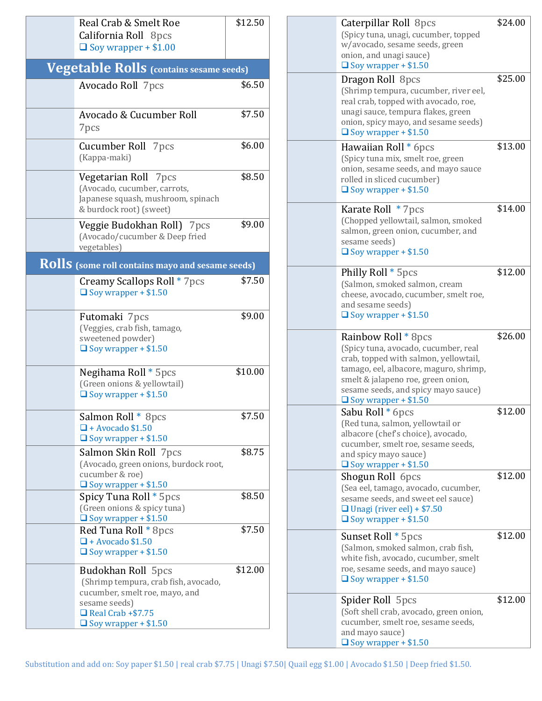| Real Crab & Smelt Roe<br>California Roll 8pcs<br>$\Box$ Soy wrapper + \$1.00                                                                                             | \$12.50 |
|--------------------------------------------------------------------------------------------------------------------------------------------------------------------------|---------|
| <b>Vegetable Rolls</b> (contains sesame seeds)                                                                                                                           |         |
| Avocado Roll 7pcs                                                                                                                                                        | \$6.50  |
| Avocado & Cucumber Roll<br>7pcs                                                                                                                                          | \$7.50  |
| Cucumber Roll 7pcs<br>(Kappa-maki)                                                                                                                                       | \$6.00  |
| Vegetarian Roll 7pcs<br>(Avocado, cucumber, carrots,<br>Japanese squash, mushroom, spinach<br>& burdock root) (sweet)                                                    | \$8.50  |
| Veggie Budokhan Roll) 7pcs<br>(Avocado/cucumber & Deep fried<br>vegetables)                                                                                              | \$9.00  |
| Rolls (some roll contains mayo and sesame seeds)                                                                                                                         |         |
| Creamy Scallops Roll * 7pcs<br>$\Box$ Soy wrapper + \$1.50                                                                                                               | \$7.50  |
| Futomaki 7pcs<br>(Veggies, crab fish, tamago,<br>sweetened powder)<br>$\Box$ Soy wrapper + \$1.50                                                                        | \$9.00  |
| Negihama Roll * 5pcs<br>(Green onions & yellowtail)<br>$\Box$ Soy wrapper + \$1.50                                                                                       | \$10.00 |
| Salmon Roll * 8pcs<br>$\Box$ + Avocado \$1.50<br>$\Box$ Soy wrapper + \$1.50                                                                                             | \$7.50  |
| Salmon Skin Roll 7pcs<br>(Avocado, green onions, burdock root,<br>cucumber & roe)<br>$\Box$ Soy wrapper + \$1.50                                                         | \$8.75  |
| Spicy Tuna Roll * 5pcs<br>(Green onions & spicy tuna)<br>$\Box$ Soy wrapper + \$1.50                                                                                     | \$8.50  |
| Red Tuna Roll * 8pcs<br>$\Box$ + Avocado \$1.50<br>$\Box$ Soy wrapper + \$1.50                                                                                           | \$7.50  |
| <b>Budokhan Roll 5pcs</b><br>(Shrimp tempura, crab fish, avocado,<br>cucumber, smelt roe, mayo, and<br>sesame seeds)<br>Real Crab +\$7.75<br>$\Box$ Soy wrapper + \$1.50 | \$12.00 |

| Caterpillar Roll 8pcs<br>(Spicy tuna, unagi, cucumber, topped<br>w/avocado, sesame seeds, green<br>onion, and unagi sauce)<br>$\Box$ Soy wrapper + \$1.50                                                                                                  | \$24.00 |
|------------------------------------------------------------------------------------------------------------------------------------------------------------------------------------------------------------------------------------------------------------|---------|
| Dragon Roll 8pcs<br>(Shrimp tempura, cucumber, river eel,<br>real crab, topped with avocado, roe,<br>unagi sauce, tempura flakes, green<br>onion, spicy mayo, and sesame seeds)<br>$\Box$ Soy wrapper + \$1.50                                             | \$25.00 |
| Hawaiian Roll * 6pcs<br>(Spicy tuna mix, smelt roe, green<br>onion, sesame seeds, and mayo sauce<br>rolled in sliced cucumber)<br>$\Box$ Soy wrapper + \$1.50                                                                                              | \$13.00 |
| Karate Roll * 7pcs<br>(Chopped yellowtail, salmon, smoked<br>salmon, green onion, cucumber, and<br>sesame seeds)<br>$\Box$ Soy wrapper + \$1.50                                                                                                            | \$14.00 |
| Philly Roll * 5pcs<br>(Salmon, smoked salmon, cream<br>cheese, avocado, cucumber, smelt roe,<br>and sesame seeds)<br>$\Box$ Soy wrapper + \$1.50                                                                                                           | \$12.00 |
| Rainbow Roll * 8pcs<br>(Spicy tuna, avocado, cucumber, real<br>crab, topped with salmon, yellowtail,<br>tamago, eel, albacore, maguro, shrimp,<br>smelt & jalapeno roe, green onion,<br>sesame seeds, and spicy mayo sauce)<br>$\Box$ Soy wrapper + \$1.50 | \$26.00 |
| Sabu Roll * 6pcs<br>(Red tuna, salmon, yellowtail or<br>albacore (chef's choice), avocado,<br>cucumber, smelt roe, sesame seeds,<br>and spicy mayo sauce)<br>$\Box$ Soy wrapper + \$1.50                                                                   | \$12.00 |
| Shogun Roll 6pcs<br>(Sea eel, tamago, avocado, cucumber,<br>sesame seeds, and sweet eel sauce)<br>$\Box$ Unagi (river eel) + \$7.50<br>$\Box$ Soy wrapper + \$1.50                                                                                         | \$12.00 |
| Sunset Roll * 5pcs<br>(Salmon, smoked salmon, crab fish,<br>white fish, avocado, cucumber, smelt<br>roe, sesame seeds, and mayo sauce)<br>$\Box$ Soy wrapper + \$1.50                                                                                      | \$12.00 |
| Spider Roll 5pcs<br>(Soft shell crab, avocado, green onion,<br>cucumber, smelt roe, sesame seeds,<br>and mayo sauce)<br>$\Box$ Soy wrapper + \$1.50                                                                                                        | \$12.00 |